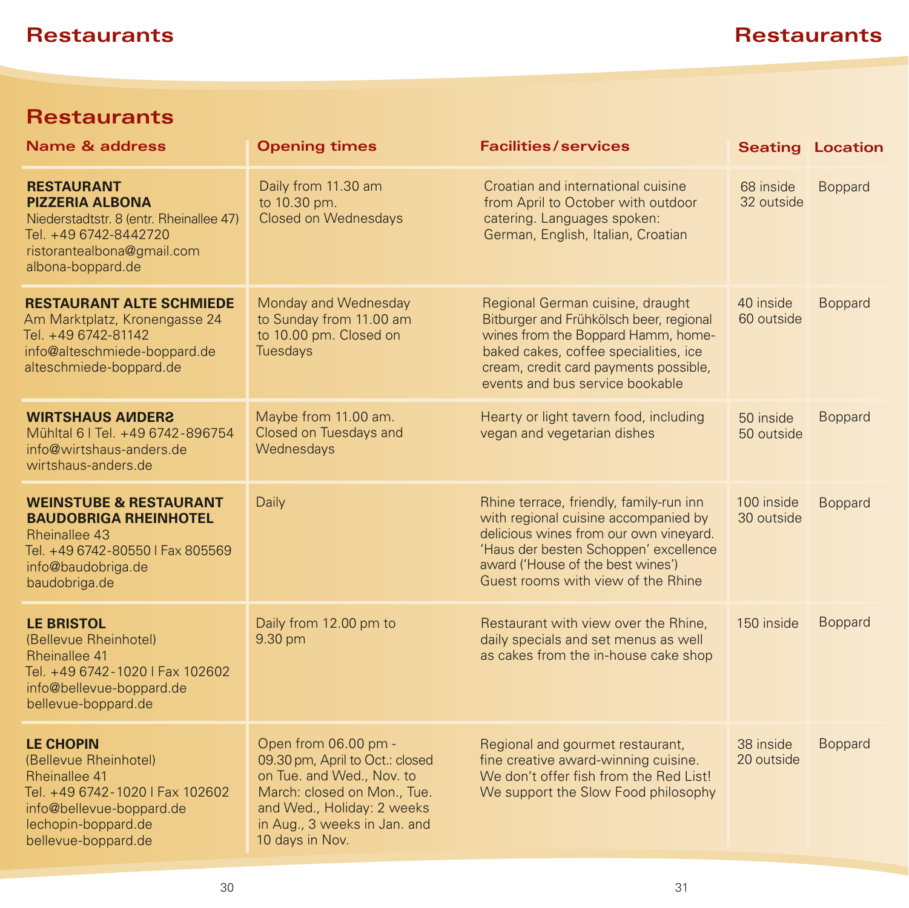# **Restaurants**

| <b>Name &amp; address</b>                                                                                                                                               | <b>Opening times</b>                                                                                                                                                                                 | <b>Facilities/services</b>                                                                                                                                                                                                                    |                          | <b>Seating Location</b> |
|-------------------------------------------------------------------------------------------------------------------------------------------------------------------------|------------------------------------------------------------------------------------------------------------------------------------------------------------------------------------------------------|-----------------------------------------------------------------------------------------------------------------------------------------------------------------------------------------------------------------------------------------------|--------------------------|-------------------------|
| <b>RESTAURANT</b><br><b>PIZZERIA ALBONA</b><br>Niederstadtstr. 8 (entr. Rheinallee 47)<br>Tel. +49 6742-8442720<br>ristorantealbona@gmail.com<br>albona-boppard.de      | Daily from 11.30 am<br>to 10.30 pm.<br><b>Closed on Wednesdays</b>                                                                                                                                   | Croatian and international cuisine<br>from April to October with outdoor<br>catering. Languages spoken:<br>German, English, Italian, Croatian                                                                                                 | 68 inside<br>32 outside  | <b>Boppard</b>          |
| <b>RESTAURANT ALTE SCHMIEDE</b><br>Am Marktplatz, Kronengasse 24<br>Tel. +49 6742-81142<br>info@alteschmiede-boppard.de<br>alteschmiede-boppard.de                      | Monday and Wednesday<br>to Sunday from 11.00 am<br>to 10.00 pm. Closed on<br><b>Tuesdays</b>                                                                                                         | Regional German cuisine, draught<br>Bitburger and Frühkölsch beer, regional<br>wines from the Boppard Hamm, home-<br>baked cakes, coffee specialities, ice<br>cream, credit card payments possible,<br>events and bus service bookable        | 40 inside<br>60 outside  | <b>Boppard</b>          |
| <b>WIRTSHAUS AUDERS</b><br>Mühltal 6   Tel. +49 6742-896754<br>info@wirtshaus-anders.de<br>wirtshaus-anders.de                                                          | Maybe from 11.00 am.<br>Closed on Tuesdays and<br>Wednesdays                                                                                                                                         | Hearty or light tavern food, including<br>vegan and vegetarian dishes                                                                                                                                                                         | 50 inside<br>50 outside  | <b>Boppard</b>          |
| <b>WEINSTUBE &amp; RESTAURANT</b><br><b>BAUDOBRIGA RHEINHOTEL</b><br><b>Rheinallee 43</b><br>Tel. +49 6742-80550   Fax 805569<br>info@baudobriga.de<br>baudobriga.de    | Daily                                                                                                                                                                                                | Rhine terrace, friendly, family-run inn<br>with regional cuisine accompanied by<br>delicious wines from our own vineyard.<br>'Haus der besten Schoppen' excellence<br>award ('House of the best wines')<br>Guest rooms with view of the Rhine | 100 inside<br>30 outside | <b>Boppard</b>          |
| <b>LE BRISTOL</b><br>(Bellevue Rheinhotel)<br>Rheinallee 41<br>Tel. +49 6742-1020   Fax 102602<br>info@bellevue-boppard.de<br>bellevue-boppard.de                       | Daily from 12.00 pm to<br>9.30 pm                                                                                                                                                                    | Restaurant with view over the Rhine,<br>daily specials and set menus as well<br>as cakes from the in-house cake shop                                                                                                                          | 150 inside               | <b>Boppard</b>          |
| <b>LE CHOPIN</b><br>(Bellevue Rheinhotel)<br>Rheinallee 41<br>Tel. +49 6742-1020   Fax 102602<br>info@bellevue-boppard.de<br>lechopin-boppard.de<br>bellevue-boppard.de | Open from 06.00 pm -<br>09.30 pm, April to Oct.: closed<br>on Tue. and Wed., Nov. to<br>March: closed on Mon., Tue.<br>and Wed., Holiday: 2 weeks<br>in Aug., 3 weeks in Jan. and<br>10 days in Nov. | Regional and gourmet restaurant,<br>fine creative award-winning cuisine.<br>We don't offer fish from the Red List!<br>We support the Slow Food philosophy                                                                                     | 38 inside<br>20 outside  | <b>Boppard</b>          |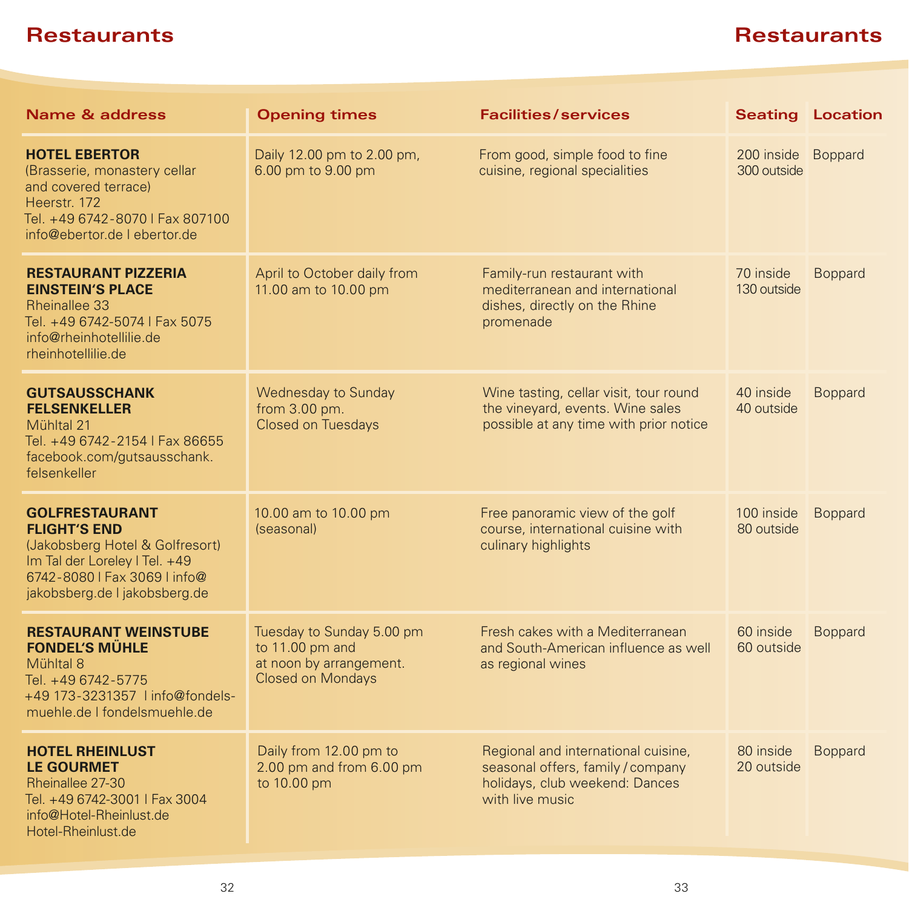| Name & address                                                                                                                                                                    | <b>Opening times</b>                                                                                | <b>Facilities/services</b>                                                                                                    |                                   | <b>Seating Location</b> |
|-----------------------------------------------------------------------------------------------------------------------------------------------------------------------------------|-----------------------------------------------------------------------------------------------------|-------------------------------------------------------------------------------------------------------------------------------|-----------------------------------|-------------------------|
| <b>HOTEL EBERTOR</b><br>(Brasserie, monastery cellar<br>and covered terrace)<br>Heerstr. 172<br>Tel. +49 6742-8070   Fax 807100<br>info@ebertor.de   ebertor.de                   | Daily 12.00 pm to 2.00 pm,<br>6.00 pm to 9.00 pm                                                    | From good, simple food to fine<br>cuisine, regional specialities                                                              | 200 inside Boppard<br>300 outside |                         |
| <b>RESTAURANT PIZZERIA</b><br><b>EINSTEIN'S PLACE</b><br>Rheinallee 33<br>Tel. +49 6742-5074   Fax 5075<br>info@rheinhotellilie.de<br>rheinhotellilie.de                          | April to October daily from<br>11.00 am to 10.00 pm                                                 | Family-run restaurant with<br>mediterranean and international<br>dishes, directly on the Rhine<br>promenade                   | 70 inside<br>130 outside          | <b>Boppard</b>          |
| <b>GUTSAUSSCHANK</b><br><b>FELSENKELLER</b><br>Mühltal 21<br>Tel. +49 6742-2154   Fax 86655<br>facebook.com/gutsausschank.<br>felsenkeller                                        | Wednesday to Sunday<br>from 3.00 pm.<br>Closed on Tuesdays                                          | Wine tasting, cellar visit, tour round<br>the vineyard, events. Wine sales<br>possible at any time with prior notice          | 40 inside<br>40 outside           | <b>Boppard</b>          |
| <b>GOLFRESTAURANT</b><br><b>FLIGHT'S END</b><br>(Jakobsberg Hotel & Golfresort)<br>Im Tal der Loreley I Tel. +49<br>6742-8080   Fax 3069   info@<br>jakobsberg.de I jakobsberg.de | 10.00 am to 10.00 pm<br>(seasonal)                                                                  | Free panoramic view of the golf<br>course, international cuisine with<br>culinary highlights                                  | 100 inside<br>80 outside          | <b>Boppard</b>          |
| <b>RESTAURANT WEINSTUBE</b><br><b>FONDEL'S MUHLE</b><br>Mühltal 8<br>Tel. +49 6742-5775<br>+49 173-3231357 linfo@fondels-<br>muehle.de I fondelsmuehle.de                         | Tuesday to Sunday 5.00 pm<br>to 11.00 pm and<br>at noon by arrangement.<br><b>Closed on Mondays</b> | Fresh cakes with a Mediterranean<br>and South-American influence as well<br>as regional wines                                 | 60 inside<br>60 outside           | <b>Boppard</b>          |
| <b>HOTEL RHEINLUST</b><br><b>LE GOURMET</b><br>Rheinallee 27-30<br>Tel. +49 6742-3001   Fax 3004<br>info@Hotel-Rheinlust.de<br>Hotel-Rheinlust.de                                 | Daily from 12.00 pm to<br>2.00 pm and from 6.00 pm<br>to 10.00 pm                                   | Regional and international cuisine,<br>seasonal offers, family / company<br>holidays, club weekend: Dances<br>with live music | 80 inside<br>20 outside           | <b>Boppard</b>          |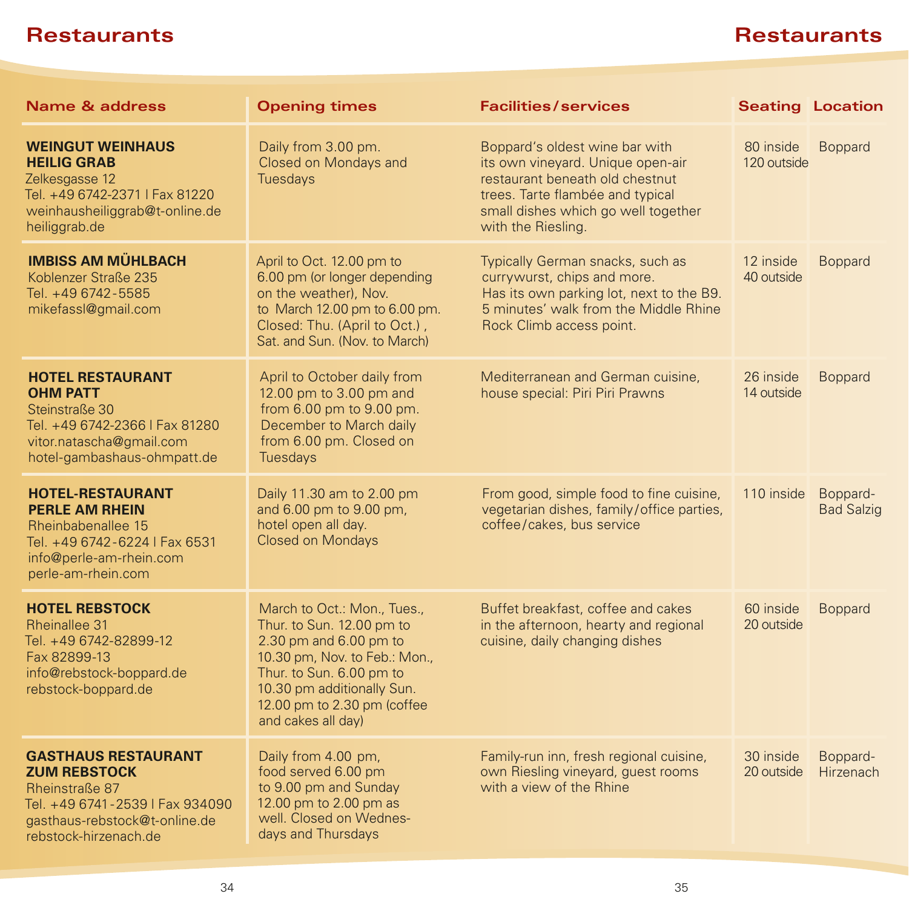| <b>Name &amp; address</b>                                                                                                                                        | <b>Opening times</b>                                                                                                                                                                                                               | <b>Facilities/services</b>                                                                                                                                                                              | <b>Seating Location</b>  |                               |
|------------------------------------------------------------------------------------------------------------------------------------------------------------------|------------------------------------------------------------------------------------------------------------------------------------------------------------------------------------------------------------------------------------|---------------------------------------------------------------------------------------------------------------------------------------------------------------------------------------------------------|--------------------------|-------------------------------|
| <b>WEINGUT WEINHAUS</b><br><b>HEILIG GRAB</b><br>Zelkesgasse 12<br>Tel. +49 6742-2371   Fax 81220<br>weinhausheiliggrab@t-online.de<br>heiliggrab.de             | Daily from 3.00 pm.<br>Closed on Mondays and<br><b>Tuesdays</b>                                                                                                                                                                    | Boppard's oldest wine bar with<br>its own vineyard. Unique open-air<br>restaurant beneath old chestnut<br>trees. Tarte flambée and typical<br>small dishes which go well together<br>with the Riesling. | 80 inside<br>120 outside | Boppard                       |
| <b>IMBISS AM MÜHLBACH</b><br>Koblenzer Straße 235<br>Tel. +49 6742-5585<br>mikefassl@gmail.com                                                                   | April to Oct. 12.00 pm to<br>6.00 pm (or longer depending<br>on the weather), Nov.<br>to March 12.00 pm to 6.00 pm.<br>Closed: Thu. (April to Oct.),<br>Sat. and Sun. (Nov. to March)                                              | Typically German snacks, such as<br>currywurst, chips and more.<br>Has its own parking lot, next to the B9.<br>5 minutes' walk from the Middle Rhine<br>Rock Climb access point.                        | 12 inside<br>40 outside  | <b>Boppard</b>                |
| <b>HOTEL RESTAURANT</b><br><b>OHM PATT</b><br>Steinstraße 30<br>Tel. +49 6742-2366   Fax 81280<br>vitor.natascha@gmail.com<br>hotel-gambashaus-ohmpatt.de        | April to October daily from<br>12.00 pm to 3.00 pm and<br>from 6.00 pm to 9.00 pm.<br>December to March daily<br>from 6.00 pm. Closed on<br>Tuesdays                                                                               | Mediterranean and German cuisine,<br>house special: Piri Piri Prawns                                                                                                                                    | 26 inside<br>14 outside  | <b>Boppard</b>                |
| <b>HOTEL-RESTAURANT</b><br><b>PERLE AM RHEIN</b><br>Rheinbabenallee 15<br>Tel. +49 6742-6224   Fax 6531<br>info@perle-am-rhein.com<br>perle-am-rhein.com         | Daily 11.30 am to 2.00 pm<br>and 6.00 pm to 9.00 pm,<br>hotel open all day.<br><b>Closed on Mondays</b>                                                                                                                            | From good, simple food to fine cuisine,<br>vegetarian dishes, family/office parties,<br>coffee/cakes, bus service                                                                                       | 110 inside               | Boppard-<br><b>Bad Salzig</b> |
| <b>HOTEL REBSTOCK</b><br>Rheinallee 31<br>Tel. +49 6742-82899-12<br>Fax 82899-13<br>info@rebstock-boppard.de<br>rebstock-boppard.de                              | March to Oct.: Mon., Tues.,<br>Thur. to Sun. 12.00 pm to<br>2.30 pm and 6.00 pm to<br>10.30 pm, Nov. to Feb.: Mon.,<br>Thur. to Sun. 6.00 pm to<br>10.30 pm additionally Sun.<br>12.00 pm to 2.30 pm (coffee<br>and cakes all day) | Buffet breakfast, coffee and cakes<br>in the afternoon, hearty and regional<br>cuisine, daily changing dishes                                                                                           | 60 inside<br>20 outside  | <b>Boppard</b>                |
| <b>GASTHAUS RESTAURANT</b><br><b>ZUM REBSTOCK</b><br>Rheinstraße 87<br>Tel. +49 6741-2539   Fax 934090<br>gasthaus-rebstock@t-online.de<br>rebstock-hirzenach.de | Daily from 4.00 pm,<br>food served 6.00 pm<br>to 9.00 pm and Sunday<br>12.00 pm to 2.00 pm as<br>well. Closed on Wednes-<br>days and Thursdays                                                                                     | Family-run inn, fresh regional cuisine,<br>own Riesling vineyard, guest rooms<br>with a view of the Rhine                                                                                               | 30 inside<br>20 outside  | Boppard-<br>Hirzenach         |